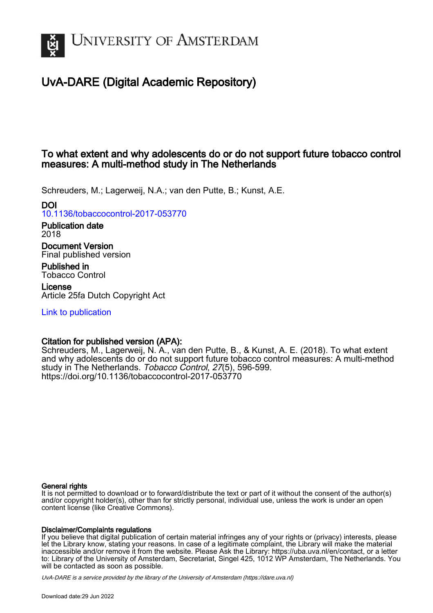

# UvA-DARE (Digital Academic Repository)

# To what extent and why adolescents do or do not support future tobacco control measures: A multi-method study in The Netherlands

Schreuders, M.; Lagerweij, N.A.; van den Putte, B.; Kunst, A.E.

# DOI

[10.1136/tobaccocontrol-2017-053770](https://doi.org/10.1136/tobaccocontrol-2017-053770)

Publication date 2018

Document Version Final published version

Published in Tobacco Control

License Article 25fa Dutch Copyright Act

[Link to publication](https://dare.uva.nl/personal/pure/en/publications/to-what-extent-and-why-adolescents-do-or-do-not-support-future-tobacco-control-measures-a-multimethod-study-in-the-netherlands(18e6972b-d8b8-4850-9575-66f0d9eb2ccf).html)

# Citation for published version (APA):

Schreuders, M., Lagerweij, N. A., van den Putte, B., & Kunst, A. E. (2018). To what extent and why adolescents do or do not support future tobacco control measures: A multi-method study in The Netherlands. Tobacco Control, 27(5), 596-599. <https://doi.org/10.1136/tobaccocontrol-2017-053770>

## General rights

It is not permitted to download or to forward/distribute the text or part of it without the consent of the author(s) and/or copyright holder(s), other than for strictly personal, individual use, unless the work is under an open content license (like Creative Commons).

## Disclaimer/Complaints regulations

If you believe that digital publication of certain material infringes any of your rights or (privacy) interests, please let the Library know, stating your reasons. In case of a legitimate complaint, the Library will make the material inaccessible and/or remove it from the website. Please Ask the Library: https://uba.uva.nl/en/contact, or a letter to: Library of the University of Amsterdam, Secretariat, Singel 425, 1012 WP Amsterdam, The Netherlands. You will be contacted as soon as possible.

UvA-DARE is a service provided by the library of the University of Amsterdam (http*s*://dare.uva.nl)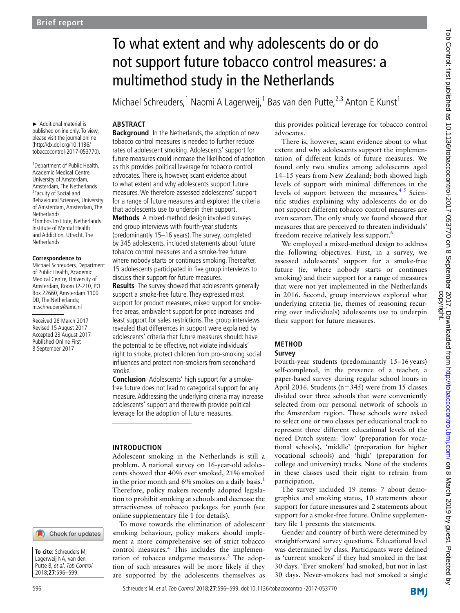► Additional material is published online only. To view, please visit the journal online (http://dx.doi.org/10.1136/ tobaccocontrol-2017-053770).

<sup>1</sup> Department of Public Health, Academic Medical Centre, University of Amsterdam, Amsterdam, The Netherlands <sup>2</sup> Faculty of Social and Behavioural Sciences, University of Amsterdam, Amsterdam, The **Netherlands** 3 Trimbos Institute, Netherlands Institute of Mental Health and Addiction, Utrecht, The **Netherlands** 

#### **Correspondence to**

Michael Schreuders, Department of Public Health, Academic Medical Centre, University of Amsterdam, Room J2-210, PO Box 22660, Amsterdam 1100 DD, The Netherlands; m.schreuders@amc.nl

Received 28 March 2017 Revised 15 August 2017 Accepted 23 August 2017 Published Online First 8 September 2017

# Check for updates

**To cite:** Schreuders M, Lagerweij NA, van den Putte B, et al. Tob Control 2018;**27**:596–599.

To what extent and why adolescents do or do not support future tobacco control measures: a multimethod study in the Netherlands

Michael Schreuders,<sup>1</sup> Naomi A Lagerweij,<sup>1</sup> Bas van den Putte,<sup>2,3</sup> Anton E Kunst<sup>1</sup>

## **ABSTRACT**

**Background** In the Netherlands, the adoption of new tobacco control measures is needed to further reduce rates of adolescent smoking. Adolescents' support for future measures could increase the likelihood of adoption as this provides political leverage for tobacco control advocates. There is, however, scant evidence about to what extent and why adolescents support future measures. We therefore assessed adolescents' support for a range of future measures and explored the criteria that adolescents use to underpin their support.

**Methods** A mixed-method design involved surveys and group interviews with fourth-year students (predominantly 15–16 years). The survey, completed by 345 adolescents, included statements about future tobacco control measures and a smoke-free future where nobody starts or continues smoking. Thereafter, 15 adolescents participated in five group interviews to discuss their support for future measures.

**Results** The survey showed that adolescents generally support a smoke-free future. They expressed most support for product measures, mixed support for smokefree areas, ambivalent support for price increases and least support for sales restrictions. The group interviews revealed that differences in support were explained by adolescents' criteria that future measures should: have the potential to be effective, not violate individuals' right to smoke, protect children from pro-smoking social influences and protect non-smokers from secondhand smoke.

**Conclusion** Adolescents' high support for a smokefree future does not lead to categorical support for any measure. Addressing the underlying criteria may increase adolescents' support and therewith provide political leverage for the adoption of future measures.

#### **INTRODUCTION**

Adolescent smoking in the Netherlands is still a problem. A national survey on 16-year-old adolescents showed that 40% ever smoked, 21% smoked in the prior month and  $6\%$  smokes on a daily basis.<sup>[1](#page-4-0)</sup> Therefore, policy makers recently adopted legislation to prohibit smoking at schools and decrease the attractiveness of tobacco packages for youth (see online [supplementary file 1](https://dx.doi.org/10.1136/tobaccocontrol-2017-053770) for details).

To move towards the elimination of adolescent smoking behaviour, policy makers should implement a more comprehensive set of strict tobacco control measures.<sup>[2](#page-4-1)</sup> This includes the implementation of tobacco endgame measures.<sup>3</sup> The adoption of such measures will be more likely if they are supported by the adolescents themselves as

this provides political leverage for tobacco control advocates.

There is, however, scant evidence about to what extent and why adolescents support the implementation of different kinds of future measures. We found only two studies among adolescents aged 14–15 years from New Zealand; both showed high levels of support with minimal differences in the levels of support between the measures.<sup>45</sup> Scientific studies explaining why adolescents do or do not support different tobacco control measures are even scarcer. The only study we found showed that measures that are perceived to threaten individuals' freedom receive relatively less support.<sup>[6](#page-4-4)</sup>

We employed a mixed-method design to address the following objectives. First, in a survey, we assessed adolescents' support for a smoke-free future (ie, where nobody starts or continues smoking) and their support for a range of measures that were not yet implemented in the Netherlands in 2016. Second, group interviews explored what underlying criteria (ie, themes of reasoning recurring over individuals) adolescents use to underpin their support for future measures.

#### **METHOD Survey**

Fourth-year students (predominantly 15–16years) self-completed, in the presence of a teacher, a paper-based survey during regular school hours in April 2016. Students (n=345) were from 15 classes divided over three schools that were conveniently selected from our personal network of schools in the Amsterdam region. These schools were asked to select one or two classes per educational track to represent three different educational levels of the tiered Dutch system: 'low' (preparation for vocational schools), 'middle' (preparation for higher vocational schools) and 'high' (preparation for college and university) tracks. None of the students in these classes used their right to refrain from participation.

The survey included 19 items: 7 about demographics and smoking status, 10 statements about support for future measures and 2 statements about support for a smoke-free future. Online [supplemen](https://dx.doi.org/10.1136/tobaccocontrol-2017-053770)[tary file 1](https://dx.doi.org/10.1136/tobaccocontrol-2017-053770) presents the statements.

Gender and country of birth were determined by straightforward survey questions. Educational level was determined by class. Participants were defined as 'current smokers' if they had smoked in the last 30 days. 'Ever smokers' had smoked, but not in last 30 days. Never-smokers had not smoked a single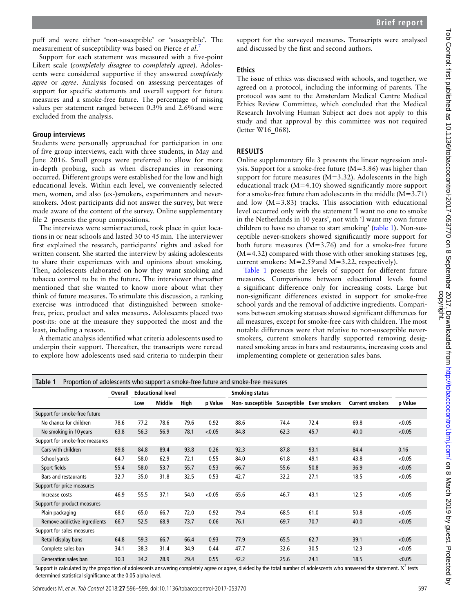Support for each statement was measured with a five-point Likert scale (*completely disagree* to *completely agree*). Adolescents were considered supportive if they answered *completely agree* or *agree*. Analysis focused on assessing percentages of support for specific statements and overall support for future measures and a smoke-free future. The percentage of missing values per statement ranged between 0.3% and 2.6%and were excluded from the analysis.

#### **Group interviews**

Students were personally approached for participation in one of five group interviews, each with three students, in May and June 2016. Small groups were preferred to allow for more in-depth probing, such as when discrepancies in reasoning occurred. Different groups were established for the low and high educational levels. Within each level, we conveniently selected men, women, and also (ex-)smokers, experimenters and neversmokers. Most participants did not answer the survey, but were made aware of the content of the survey. Online [supplementary](https://dx.doi.org/10.1136/tobaccocontrol-2017-053770)  [file 2](https://dx.doi.org/10.1136/tobaccocontrol-2017-053770) presents the group compositions.

The interviews were semistructured, took place in quiet locations in or near schools and lasted 30 to 45min. The interviewer first explained the research, participants' rights and asked for written consent. She started the interview by asking adolescents to share their experiences with and opinions about smoking. Then, adolescents elaborated on how they want smoking and tobacco control to be in the future. The interviewer thereafter mentioned that she wanted to know more about what they think of future measures. To stimulate this discussion, a ranking exercise was introduced that distinguished between smokefree, price, product and sales measures. Adolescents placed two post-its: one at the measure they supported the most and the least, including a reason.

A thematic analysis identified what criteria adolescents used to underpin their support. Thereafter, the transcripts were reread to explore how adolescents used said criteria to underpin their

support for the surveyed measures. Transcripts were analysed and discussed by the first and second authors.

# **Ethics**

The issue of ethics was discussed with schools, and together, we agreed on a protocol, including the informing of parents. The protocol was sent to the Amsterdam Medical Centre Medical Ethics Review Committee, which concluded that the Medical Research Involving Human Subject act does not apply to this study and that approval by this committee was not required (letter W16 068).

# **RESULTS**

Online [supplementary file 3](https://dx.doi.org/10.1136/tobaccocontrol-2017-053770) presents the linear regression analysis. Support for a smoke-free future (M*=*3.86) was higher than support for future measures (M*=*3.32). Adolescents in the high educational track (M=4.10) showed significantly more support for a smoke-free future than adolescents in the middle  $(M=3.71)$ and low (M=3.83) tracks. This association with educational level occurred only with the statement 'I want no one to smoke in the Netherlands in 10 years', not with 'I want my own future children to have no chance to start smoking' [\(table](#page-2-0) 1). Non-susceptible never-smokers showed significantly more support for both future measures  $(M=3.76)$  and for a smoke-free future  $(M=4.32)$  compared with those with other smoking statuses (eg, current smokers: M=2.59and M=3.22, respectively).

[Table](#page-2-0) 1 presents the levels of support for different future measures. Comparisons between educational levels found a significant difference only for increasing costs. Large but non-significant differences existed in support for smoke-free school yards and the removal of addictive ingredients. Comparisons between smoking statuses showed significant differences for all measures, except for smoke-free cars with children. The most notable differences were that relative to non-susceptible neversmokers, current smokers hardly supported removing designated smoking areas in bars and restaurants, increasing costs and implementing complete or generation sales bans.

<span id="page-2-0"></span>

| Proportion of adolescents who support a smoke-free future and smoke-free measures<br>Table 1 |         |                          |        |      |         |                             |      |                     |                        |         |
|----------------------------------------------------------------------------------------------|---------|--------------------------|--------|------|---------|-----------------------------|------|---------------------|------------------------|---------|
|                                                                                              | Overall | <b>Educational level</b> |        |      |         | <b>Smoking status</b>       |      |                     |                        |         |
|                                                                                              |         | Low                      | Middle | High | p Value | Non-susceptible Susceptible |      | <b>Ever smokers</b> | <b>Current smokers</b> | p Value |
| Support for smoke-free future                                                                |         |                          |        |      |         |                             |      |                     |                        |         |
| No chance for children                                                                       | 78.6    | 77.2                     | 78.6   | 79.6 | 0.92    | 88.6                        | 74.4 | 72.4                | 69.8                   | < 0.05  |
| No smoking in 10 years                                                                       | 63.8    | 56.3                     | 56.9   | 78.1 | < 0.05  | 84.8                        | 62.3 | 45.7                | 40.0                   | < 0.05  |
| Support for smoke-free measures                                                              |         |                          |        |      |         |                             |      |                     |                        |         |
| Cars with children                                                                           | 89.8    | 84.8                     | 89.4   | 93.8 | 0.26    | 92.3                        | 87.8 | 93.1                | 84.4                   | 0.16    |
| School yards                                                                                 | 64.7    | 58.0                     | 62.9   | 72.1 | 0.55    | 84.0                        | 61.8 | 49.1                | 43.8                   | < 0.05  |
| Sport fields                                                                                 | 55.4    | 58.0                     | 53.7   | 55.7 | 0.53    | 66.7                        | 55.6 | 50.8                | 36.9                   | < 0.05  |
| <b>Bars and restaurants</b>                                                                  | 32.7    | 35.0                     | 31.8   | 32.5 | 0.53    | 42.7                        | 32.2 | 27.1                | 18.5                   | < 0.05  |
| Support for price measures                                                                   |         |                          |        |      |         |                             |      |                     |                        |         |
| Increase costs                                                                               | 46.9    | 55.5                     | 37.1   | 54.0 | < 0.05  | 65.6                        | 46.7 | 43.1                | 12.5                   | < 0.05  |
| Support for product measures                                                                 |         |                          |        |      |         |                             |      |                     |                        |         |
| Plain packaging                                                                              | 68.0    | 65.0                     | 66.7   | 72.0 | 0.92    | 79.4                        | 68.5 | 61.0                | 50.8                   | < 0.05  |
| Remove addictive ingredients                                                                 | 66.7    | 52.5                     | 68.9   | 73.7 | 0.06    | 76.1                        | 69.7 | 70.7                | 40.0                   | < 0.05  |
| Support for sales measures                                                                   |         |                          |        |      |         |                             |      |                     |                        |         |
| Retail display bans                                                                          | 64.8    | 59.3                     | 66.7   | 66.4 | 0.93    | 77.9                        | 65.5 | 62.7                | 39.1                   | < 0.05  |
| Complete sales ban                                                                           | 34.1    | 38.3                     | 31.4   | 34.9 | 0.44    | 47.7                        | 32.6 | 30.5                | 12.3                   | < 0.05  |
| Generation sales ban                                                                         | 30.3    | 34.2                     | 28.9   | 29.4 | 0.55    | 42.2                        | 25.6 | 24.1                | 18.5                   | < 0.05  |

Support is calculated by the proportion of adolescents answering completely agree or agree, divided by the total number of adolescents who answered the statement.  $X^2$  tests determined statistical significance at the 0.05 alpha level.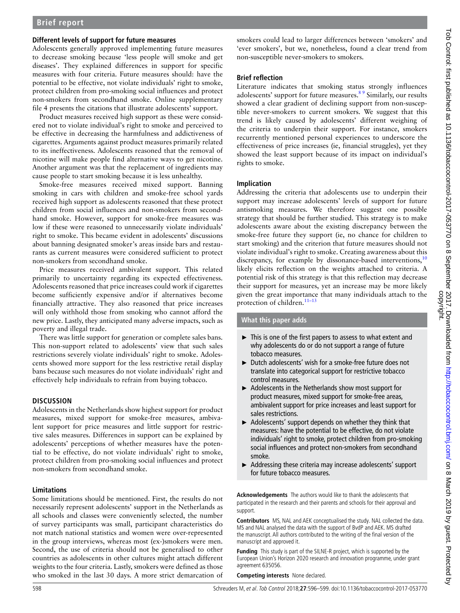#### **Different levels of support for future measures**

Adolescents generally approved implementing future measures to decrease smoking because 'less people will smoke and get diseases'. They explained differences in support for specific measures with four criteria. Future measures should: have the potential to be effective, not violate individuals' right to smoke, protect children from pro-smoking social influences and protect non-smokers from secondhand smoke. Online [supplementary](https://dx.doi.org/10.1136/tobaccocontrol-2017-053770)  [file 4](https://dx.doi.org/10.1136/tobaccocontrol-2017-053770) presents the citations that illustrate adolescents' support.

Product measures received high support as these were considered not to violate individual's right to smoke and perceived to be effective in decreasing the harmfulness and addictiveness of cigarettes. Arguments against product measures primarily related to its ineffectiveness. Adolescents reasoned that the removal of nicotine will make people find alternative ways to get nicotine. Another argument was that the replacement of ingredients may cause people to start smoking because it is less unhealthy.

Smoke-free measures received mixed support. Banning smoking in cars with children and smoke-free school yards received high support as adolescents reasoned that these protect children from social influences and non-smokers from secondhand smoke. However, support for smoke-free measures was low if these were reasoned to unnecessarily violate individuals' right to smoke. This became evident in adolescents' discussions about banning designated smoker's areas inside bars and restaurants as current measures were considered sufficient to protect non-smokers from secondhand smoke.

Price measures received ambivalent support. This related primarily to uncertainty regarding its expected effectiveness. Adolescents reasoned that price increases could work if cigarettes become sufficiently expensive and/or if alternatives become financially attractive. They also reasoned that price increases will only withhold those from smoking who cannot afford the new price. Lastly, they anticipated many adverse impacts, such as poverty and illegal trade.

There was little support for generation or complete sales bans. This non-support related to adolescents' view that such sales restrictions severely violate individuals' right to smoke. Adolescents showed more support for the less restrictive retail display bans because such measures do not violate individuals' right and effectively help individuals to refrain from buying tobacco.

### **DISCUSSION**

Adolescents in the Netherlands show highest support for product measures, mixed support for smoke-free measures, ambivalent support for price measures and little support for restrictive sales measures. Differences in support can be explained by adolescents' perceptions of whether measures have the potential to be effective, do not violate individuals' right to smoke, protect children from pro-smoking social influences and protect non-smokers from secondhand smoke.

#### **Limitations**

Some limitations should be mentioned. First, the results do not necessarily represent adolescents' support in the Netherlands as all schools and classes were conveniently selected, the number of survey participants was small, participant characteristics do not match national statistics and women were over-represented in the group interviews, whereas most (ex-)smokers were men. Second, the use of criteria should not be generalised to other countries as adolescents in other cultures might attach different weights to the four criteria. Lastly, smokers were defined as those who smoked in the last 30 days. A more strict demarcation of smokers could lead to larger differences between 'smokers' and 'ever smokers', but we, nonetheless, found a clear trend from non-susceptible never-smokers to smokers.

## **Brief reflection**

Literature indicates that smoking status strongly influences adolescents' support for future measures.<sup>89</sup> Similarly, our results showed a clear gradient of declining support from non-susceptible never-smokers to current smokers. We suggest that this trend is likely caused by adolescents' different weighing of the criteria to underpin their support. For instance, smokers recurrently mentioned personal experiences to underscore the effectiveness of price increases (ie, financial struggles), yet they showed the least support because of its impact on individual's rights to smoke.

#### **Implication**

Addressing the criteria that adolescents use to underpin their support may increase adolescents' levels of support for future antismoking measures. We therefore suggest one possible strategy that should be further studied. This strategy is to make adolescents aware about the existing discrepancy between the smoke-free future they support (ie, no chance for children to start smoking) and the criterion that future measures should not violate individual's right to smoke. Creating awareness about this discrepancy, for example by dissonance-based interventions,<sup>[10](#page-4-7)</sup> likely elicits reflection on the weights attached to criteria. A potential risk of this strategy is that this reflection may decrease their support for measures, yet an increase may be more likely given the great importance that many individuals attach to the protection of children. $11-13$ 

#### **What this paper adds**

- ► This is one of the first papers to assess to what extent and why adolescents do or do not support a range of future tobacco measures.
- ► Dutch adolescents' wish for a smoke-free future does not translate into categorical support for restrictive tobacco control measures.
- ► Adolescents in the Netherlands show most support for product measures, mixed support for smoke-free areas, ambivalent support for price increases and least support for sales restrictions.
- ► Adolescents' support depends on whether they think that measures: have the potential to be effective, do not violate individuals' right to smoke, protect children from pro-smoking social influences and protect non-smokers from secondhand smoke.
- ► Addressing these criteria may increase adolescents' support for future tobacco measures.

**Acknowledgements** The authors would like to thank the adolescents that participated in the research and their parents and schools for their approval and support.

**Contributors** MS, NAL and AEK conceptualised the study. NAL collected the data. MS and NAL analysed the data with the support of BvdP and AEK. MS drafted the manuscript. All authors contributed to the writing of the final version of the manuscript and approved it.

**Funding** This study is part of the SILNE-R project, which is supported by the European Union's Horizon 2020 research and innovation programme, under grant agreement 635056.

**Competing interests** None declared.